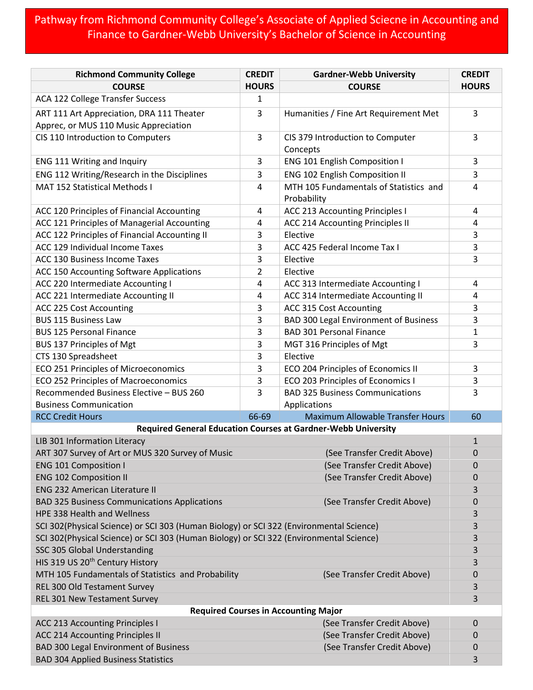## Pathway from Richmond Community College's Associate of Applied Sciecne in Accounting and Finance to Gardner-Webb University's Bachelor of Science in Accounting

| <b>Richmond Community College</b>                                                       | <b>CREDIT</b> | <b>Gardner-Webb University</b>                                | <b>CREDIT</b> |  |
|-----------------------------------------------------------------------------------------|---------------|---------------------------------------------------------------|---------------|--|
| <b>COURSE</b>                                                                           | <b>HOURS</b>  | <b>COURSE</b>                                                 | <b>HOURS</b>  |  |
| ACA 122 College Transfer Success                                                        | 1             |                                                               |               |  |
| ART 111 Art Appreciation, DRA 111 Theater                                               | 3             | Humanities / Fine Art Requirement Met                         | 3             |  |
| Apprec, or MUS 110 Music Appreciation                                                   |               |                                                               |               |  |
| CIS 110 Introduction to Computers                                                       | 3             | CIS 379 Introduction to Computer<br>Concepts                  | 3             |  |
| ENG 111 Writing and Inquiry                                                             | 3             | ENG 101 English Composition I                                 | 3             |  |
| ENG 112 Writing/Research in the Disciplines                                             | 3             | ENG 102 English Composition II                                | 3             |  |
| MAT 152 Statistical Methods I                                                           | 4             | MTH 105 Fundamentals of Statistics and<br>Probability         | 4             |  |
| ACC 120 Principles of Financial Accounting                                              | 4             | <b>ACC 213 Accounting Principles I</b>                        | 4             |  |
| ACC 121 Principles of Managerial Accounting                                             | 4             | ACC 214 Accounting Principles II                              | 4             |  |
| ACC 122 Principles of Financial Accounting II                                           | 3             | Elective                                                      | 3             |  |
| ACC 129 Individual Income Taxes                                                         | 3             | ACC 425 Federal Income Tax I                                  | 3             |  |
| ACC 130 Business Income Taxes                                                           | 3             | Elective                                                      | 3             |  |
| ACC 150 Accounting Software Applications                                                | 2             | Elective                                                      |               |  |
| ACC 220 Intermediate Accounting I                                                       | 4             | ACC 313 Intermediate Accounting I                             | 4             |  |
| ACC 221 Intermediate Accounting II                                                      | 4             | ACC 314 Intermediate Accounting II                            | 4             |  |
| ACC 225 Cost Accounting                                                                 | 3             | ACC 315 Cost Accounting                                       | 3             |  |
| <b>BUS 115 Business Law</b>                                                             | 3             | <b>BAD 300 Legal Environment of Business</b>                  | 3             |  |
| <b>BUS 125 Personal Finance</b>                                                         | 3             | <b>BAD 301 Personal Finance</b>                               | 1             |  |
| <b>BUS 137 Principles of Mgt</b>                                                        | 3             | MGT 316 Principles of Mgt                                     | 3             |  |
| CTS 130 Spreadsheet                                                                     | 3             | Elective                                                      |               |  |
| ECO 251 Principles of Microeconomics                                                    | 3             | ECO 204 Principles of Economics II                            | 3             |  |
| ECO 252 Principles of Macroeconomics                                                    | 3             | ECO 203 Principles of Economics I                             | 3             |  |
| Recommended Business Elective - BUS 260                                                 | 3             | <b>BAD 325 Business Communications</b>                        | 3             |  |
| <b>Business Communication</b>                                                           |               | Applications                                                  |               |  |
| <b>RCC Credit Hours</b>                                                                 | 66-69         | <b>Maximum Allowable Transfer Hours</b>                       | 60            |  |
|                                                                                         |               | Required General Education Courses at Gardner-Webb University |               |  |
| LIB 301 Information Literacy                                                            |               |                                                               | $\mathbf{1}$  |  |
| ART 307 Survey of Art or MUS 320 Survey of Music                                        |               | (See Transfer Credit Above)                                   | 0             |  |
| <b>ENG 101 Composition I</b>                                                            |               | (See Transfer Credit Above)                                   | 0             |  |
| <b>ENG 102 Composition II</b>                                                           |               | (See Transfer Credit Above)                                   | 0             |  |
| <b>ENG 232 American Literature II</b>                                                   |               |                                                               | 3             |  |
| <b>BAD 325 Business Communications Applications</b>                                     |               | (See Transfer Credit Above)                                   | 0             |  |
| HPE 338 Health and Wellness                                                             |               |                                                               | 3             |  |
| SCI 302(Physical Science) or SCI 303 (Human Biology) or SCI 322 (Environmental Science) |               |                                                               | 3             |  |
| SCI 302(Physical Science) or SCI 303 (Human Biology) or SCI 322 (Environmental Science) |               |                                                               | 3             |  |
| SSC 305 Global Understanding                                                            |               |                                                               | 3             |  |
| HIS 319 US 20 <sup>th</sup> Century History                                             |               |                                                               | 3             |  |
| MTH 105 Fundamentals of Statistics and Probability                                      |               | (See Transfer Credit Above)                                   | 0             |  |
| REL 300 Old Testament Survey                                                            |               |                                                               | 3             |  |
| REL 301 New Testament Survey                                                            |               |                                                               | 3             |  |
| <b>Required Courses in Accounting Major</b>                                             |               |                                                               |               |  |
| <b>ACC 213 Accounting Principles I</b>                                                  |               | (See Transfer Credit Above)                                   | $\mathbf 0$   |  |
| <b>ACC 214 Accounting Principles II</b>                                                 |               | (See Transfer Credit Above)                                   | 0             |  |
| <b>BAD 300 Legal Environment of Business</b>                                            |               | (See Transfer Credit Above)                                   | 0             |  |
| <b>BAD 304 Applied Business Statistics</b>                                              |               |                                                               | 3             |  |